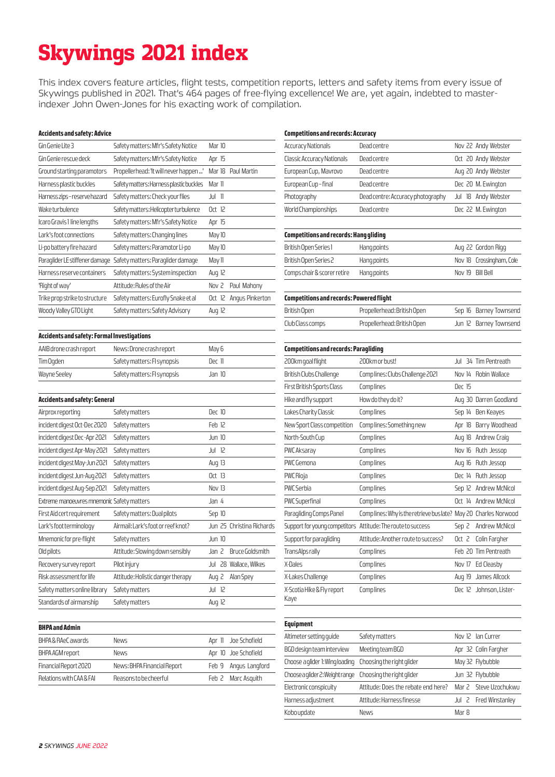# Skywings 2021 index

This index covers feature articles, flight tests, competition reports, letters and safety items from every issue of Skywings published in 2021. That's 464 pages of free-flying excellence! We are, yet again, indebted to masterindexer John Owen-Jones for his exacting work of compilation.

#### **Accidents and safety: Advice**

| Gin Genie Lite 3               | Safety matters: Mfr's Safety Notice     | Mar 10   |                 |
|--------------------------------|-----------------------------------------|----------|-----------------|
| Gin Genie rescue deck          | Safety matters: Mfr's Safety Notice     | Apr 15   |                 |
| Ground starting paramotors     | Propellerhead: 'It will never happen'   | Mar 18   | Paul Martin     |
| Harness plastic buckles        | Safety matters: Harness plastic buckles | Mar II   |                 |
| Harness zips – reserve hazard  | Safety matters: Check your flies        | Jul 11   |                 |
| Waketurbulence                 | Safety matters: Helicopter turbulence   | Oct 12   |                 |
| Icaro Gravis 1 line lengths    | Safety matters: Mfr's Safety Notice     | Apr 15   |                 |
| Lark's foot connections        | Safety matters: Changing lines          | May 10   |                 |
| Li-po battery fire hazard      | Safety matters: Paramotor Li-po         | May 10   |                 |
| Paraglider LE stiffener damage | Safety matters: Paraglider damage       | May 11   |                 |
| Harness reserve containers     | Safety matters: System inspection       | Aug 12   |                 |
| 'Right of way'                 | Attitude: Rules of the Air              | Nov 2    | Paul Mahony     |
| Trike prop strike to structure | Safety matters: Eurofly Snake et al     | Oct 12   | Angus Pinkerton |
| Woody Valley GTO Light         | Safety matters: Safety Advisory         | Aug $12$ |                 |
|                                |                                         |          |                 |

#### **Competitions and records: Accuracy**

| <b>Accuracy Nationals</b>  | Dead centre                       | Nov 22 Andy Webster |
|----------------------------|-----------------------------------|---------------------|
| Classic Accuracy Nationals | <b>Dead centre</b>                | Oct 20 Andy Webster |
| European Cup, Mavrovo      | <b>Dead centre</b>                | Aug 20 Andy Webster |
| European Cup-final         | <b>Dead centre</b>                | Dec 20 M. Ewington  |
| Photography                | Dead centre: Accuracy photography | Jul 18 Andy Webster |
| World Championships        | Dead centre                       | Dec 22 M. Ewington  |
|                            |                                   |                     |

# **Competitions and records: Hang gliding**  British Open Series 1 Hang points Aug 22 Gordon Rigg British Open Series 2 Hang points Nov 18 Crossingham, Cole Comps chair & scorer retire Hang points Nov 19 Bill Bell

| <b>Competitions and records: Powered flight</b> |                             |  |                        |
|-------------------------------------------------|-----------------------------|--|------------------------|
| British Open                                    | Propellerhead: British Open |  | Sep 16 Barney Townsend |
| Club Class comps                                | Propellerhead: British Open |  | Jun 12 Barney Townsend |

| Accidents and safety: Formal Investigations |                             |        |  |
|---------------------------------------------|-----------------------------|--------|--|
| AAIB drone crash report                     | News: Drone crash report    | May 6  |  |
| Tim Ogden                                   | Safety matters: FI synopsis | Der 11 |  |
| Wayne Seeley                                | Safety matters: FI synopsis | Jan 10 |  |

| Safety matters                     | Dec 10                                                                      |
|------------------------------------|-----------------------------------------------------------------------------|
| Safety matters                     | Feb 12                                                                      |
| Safety matters                     | Jun <sub>10</sub>                                                           |
| Safety matters                     | Jul 12                                                                      |
| Safety matters                     | Aug $13$                                                                    |
| Safety matters                     | Oct 13                                                                      |
| Safety matters                     | Nov 13                                                                      |
|                                    | Jan 4                                                                       |
| Safety matters: Dual pilots        | Sep 10                                                                      |
| Airmail: Lark's foot or reef knot? | Jun 25 Christina Richards                                                   |
| Safety matters                     | <b>Jun 10</b>                                                               |
| Attitude: Slowing down sensibly    | <b>Bruce Goldsmith</b><br>Jan 2                                             |
| Pilot injury                       | 28 Wallace, Wilkes<br>Jul                                                   |
| Attitude: Holistic danger therapy  | Alan Spey<br>Aug $2$                                                        |
| Safety matters                     | Jul 12                                                                      |
| Safety matters                     | Aug $12$                                                                    |
|                                    | Accidents and safety: General<br>Extreme manoeuvres mnemonic Safety matters |

| <b>BHPA</b> and Admin    |                             |                      |
|--------------------------|-----------------------------|----------------------|
|                          |                             |                      |
| BHPA & RAeC awards       | <b>News</b>                 | Apr II Joe Schofield |
| BHPA AGM report          | <b>News</b>                 | Apr 10 Joe Schofield |
| Financial Report 2020    | News: BHPA Financial Report | Feb 9 Angus Langford |
| Relations with CAA & FAI | Reasons to be cheerful      | Feb 2 Marc Asquith   |

| <b>Competitions and records: Paragliding</b> |                                                                |          |                        |
|----------------------------------------------|----------------------------------------------------------------|----------|------------------------|
| 200km goal flight                            | 200km or bust!                                                 | Jul      | 34 Tim Pentreath       |
| British Clubs Challenge                      | Complines: Clubs Challenge 2021                                | Nov 14   | Robin Wallace          |
| First British Sports Class                   | Comp lines                                                     | Dec 15   |                        |
| Hike and fly support                         | How do they do it?                                             |          | Aug 30 Darren Goodland |
| Lakes Charity Classic                        | Comp lines                                                     | Sep 14   | Ben Keayes             |
| New Sport Class competition                  | Complines: Something new                                       | Apr 18   | Barry Woodhead         |
| North-South Cup                              | Comp lines                                                     | $AUQ$ 18 | Andrew Craig           |
| PWC Aksaray                                  | Comp lines                                                     | Nov 16   | Ruth Jessop            |
| PWC Gemona                                   | Comp lines                                                     | Aug $16$ | Ruth Jessop            |
| PWC Rioja                                    | Comp lines                                                     | Dec 14   | Ruth Jessop            |
| PWC Serbia                                   | Comp lines                                                     | Sep 12   | Andrew McNicol         |
| PWC Superfinal                               | Comp lines                                                     | Oct $14$ | Andrew McNicol         |
| Paragliding Comps Panel                      | Complines: Why is the retrieve buslate? May 20 Charles Norwood |          |                        |
|                                              | Support for young competitors Attitude: The route to success   | Sep 2    | Andrew McNicol         |
| Support for paragliding                      | Attitude: Another route to success?                            | Oct $2$  | Colin Fargher          |
| TransAlps rally                              | Comp lines                                                     |          | Feb 20 Tim Pentreath   |
| X-Dales                                      | Comp lines                                                     | Nov 17   | Ed Cleasby             |
| X-Lakes Challenge                            | Comp lines                                                     | Aug 19   | James Allcock          |
| X-Scotia Hike & Fly report<br>Kaye           | Comp lines                                                     | Dec 12   | Johnson, Lister-       |
|                                              |                                                                |          |                        |

#### **Equipment**

| Equipment                                                 |                                     |                       |
|-----------------------------------------------------------|-------------------------------------|-----------------------|
| Altimeter setting quide                                   | Safety matters                      | Nov 12 Ian Currer     |
| BGD design team interview                                 | Meeting team BGD                    | Apr 32 Colin Fargher  |
| Choose aglider 1: Wing loading Choosing the right glider  |                                     | May 32 Flybubble      |
| Choose a glider 2: Weight range Choosing the right glider |                                     | Jun 32 Flybubble      |
| Electronic conspicuity                                    | Attitude: Does the rebate end here? | Mar 2 Steve Uzochukwu |
| Harness adjustment                                        | Attitude: Harness finesse           | Jul 2 Fred Winstanley |
| Kobo update                                               | <b>News</b>                         | Mar 8                 |